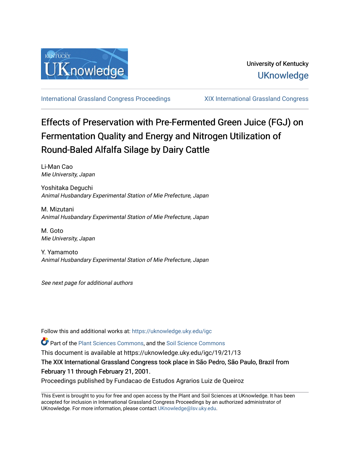

[International Grassland Congress Proceedings](https://uknowledge.uky.edu/igc) [XIX International Grassland Congress](https://uknowledge.uky.edu/igc/19) 

# Effects of Preservation with Pre-Fermented Green Juice (FGJ) on Fermentation Quality and Energy and Nitrogen Utilization of Round-Baled Alfalfa Silage by Dairy Cattle

Li-Man Cao Mie University, Japan

Yoshitaka Deguchi Animal Husbandary Experimental Station of Mie Prefecture, Japan

M. Mizutani Animal Husbandary Experimental Station of Mie Prefecture, Japan

M. Goto Mie University, Japan

Y. Yamamoto Animal Husbandary Experimental Station of Mie Prefecture, Japan

See next page for additional authors

Follow this and additional works at: [https://uknowledge.uky.edu/igc](https://uknowledge.uky.edu/igc?utm_source=uknowledge.uky.edu%2Figc%2F19%2F21%2F13&utm_medium=PDF&utm_campaign=PDFCoverPages) 

Part of the [Plant Sciences Commons](http://network.bepress.com/hgg/discipline/102?utm_source=uknowledge.uky.edu%2Figc%2F19%2F21%2F13&utm_medium=PDF&utm_campaign=PDFCoverPages), and the [Soil Science Commons](http://network.bepress.com/hgg/discipline/163?utm_source=uknowledge.uky.edu%2Figc%2F19%2F21%2F13&utm_medium=PDF&utm_campaign=PDFCoverPages) 

This document is available at https://uknowledge.uky.edu/igc/19/21/13

The XIX International Grassland Congress took place in São Pedro, São Paulo, Brazil from February 11 through February 21, 2001.

Proceedings published by Fundacao de Estudos Agrarios Luiz de Queiroz

This Event is brought to you for free and open access by the Plant and Soil Sciences at UKnowledge. It has been accepted for inclusion in International Grassland Congress Proceedings by an authorized administrator of UKnowledge. For more information, please contact [UKnowledge@lsv.uky.edu](mailto:UKnowledge@lsv.uky.edu).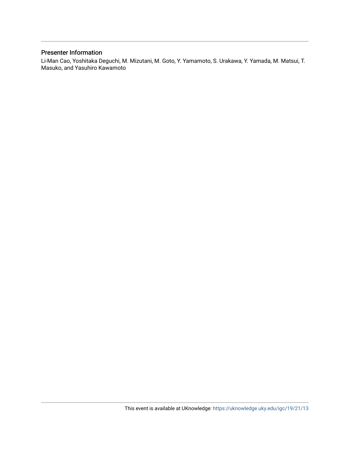### Presenter Information

Li-Man Cao, Yoshitaka Deguchi, M. Mizutani, M. Goto, Y. Yamamoto, S. Urakawa, Y. Yamada, M. Matsui, T. Masuko, and Yasuhiro Kawamoto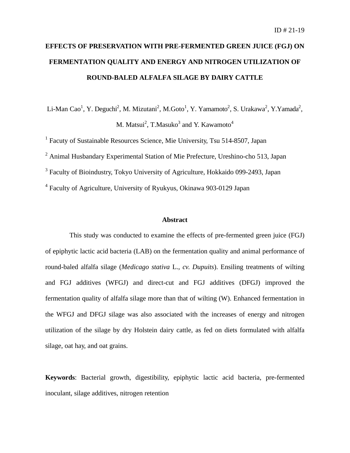## **EFFECTS OF PRESERVATION WITH PRE-FERMENTED GREEN JUICE (FGJ) ON FERMENTATION QUALITY AND ENERGY AND NITROGEN UTILIZATION OF ROUND-BALED ALFALFA SILAGE BY DAIRY CATTLE**

Li-Man Cao<sup>1</sup>, Y. Deguchi<sup>2</sup>, M. Mizutani<sup>2</sup>, M.Goto<sup>1</sup>, Y. Yamamoto<sup>2</sup>, S. Urakawa<sup>2</sup>, Y.Yamada<sup>2</sup>, M. Matsui $^2$ , T.Masuko $^3$  and Y. Kawamoto $^4$ 

<sup>1</sup> Facuty of Sustainable Resources Science, Mie University, Tsu 514-8507, Japan

<sup>2</sup> Animal Husbandary Experimental Station of Mie Prefecture, Ureshino-cho 513, Japan

<sup>3</sup> Faculty of Bioindustry, Tokyo University of Agriculture, Hokkaido 099-2493, Japan

<sup>4</sup> Faculty of Agriculture, University of Ryukyus, Okinawa 903-0129 Japan

#### **Abstract**

This study was conducted to examine the effects of pre-fermented green juice (FGJ) of epiphytic lactic acid bacteria (LAB) on the fermentation quality and animal performance of round-baled alfalfa silage (*Medicago stativa* L., *cv. Dupuits*). Ensiling treatments of wilting and FGJ additives (WFGJ) and direct-cut and FGJ additives (DFGJ) improved the fermentation quality of alfalfa silage more than that of wilting (W). Enhanced fermentation in the WFGJ and DFGJ silage was also associated with the increases of energy and nitrogen utilization of the silage by dry Holstein dairy cattle, as fed on diets formulated with alfalfa silage, oat hay, and oat grains.

**Keywords**: Bacterial growth, digestibility, epiphytic lactic acid bacteria, pre-fermented inoculant, silage additives, nitrogen retention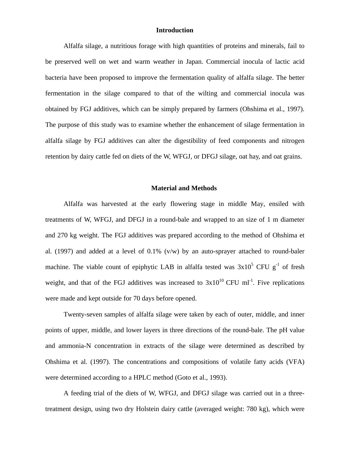#### **Introduction**

Alfalfa silage, a nutritious forage with high quantities of proteins and minerals, fail to be preserved well on wet and warm weather in Japan. Commercial inocula of lactic acid bacteria have been proposed to improve the fermentation quality of alfalfa silage. The better fermentation in the silage compared to that of the wilting and commercial inocula was obtained by FGJ additives, which can be simply prepared by farmers (Ohshima et al., 1997). The purpose of this study was to examine whether the enhancement of silage fermentation in alfalfa silage by FGJ additives can alter the digestibility of feed components and nitrogen retention by dairy cattle fed on diets of the W, WFGJ, or DFGJ silage, oat hay, and oat grains.

#### **Material and Methods**

Alfalfa was harvested at the early flowering stage in middle May, ensiled with treatments of W, WFGJ, and DFGJ in a round-bale and wrapped to an size of 1 m diameter and 270 kg weight. The FGJ additives was prepared according to the method of Ohshima et al. (1997) and added at a level of 0.1% (v/w) by an auto-sprayer attached to round-baler machine. The viable count of epiphytic LAB in alfalfa tested was  $3x10^5$  CFU  $g^{-1}$  of fresh weight, and that of the FGJ additives was increased to  $3x10^{10}$  CFU ml<sup>-1</sup>. Five replications were made and kept outside for 70 days before opened.

Twenty-seven samples of alfalfa silage were taken by each of outer, middle, and inner points of upper, middle, and lower layers in three directions of the round-bale. The pH value and ammonia-N concentration in extracts of the silage were determined as described by Ohshima et al. (1997). The concentrations and compositions of volatile fatty acids (VFA) were determined according to a HPLC method (Goto et al., 1993).

A feeding trial of the diets of W, WFGJ, and DFGJ silage was carried out in a threetreatment design, using two dry Holstein dairy cattle (averaged weight: 780 kg), which were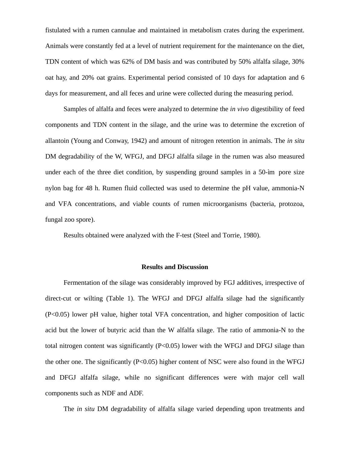fistulated with a rumen cannulae and maintained in metabolism crates during the experiment. Animals were constantly fed at a level of nutrient requirement for the maintenance on the diet, TDN content of which was 62% of DM basis and was contributed by 50% alfalfa silage, 30% oat hay, and 20% oat grains. Experimental period consisted of 10 days for adaptation and 6 days for measurement, and all feces and urine were collected during the measuring period.

Samples of alfalfa and feces were analyzed to determine the *in vivo* digestibility of feed components and TDN content in the silage, and the urine was to determine the excretion of allantoin (Young and Conway, 1942) and amount of nitrogen retention in animals. The *in situ* DM degradability of the W, WFGJ, and DFGJ alfalfa silage in the rumen was also measured under each of the three diet condition, by suspending ground samples in a 50-ìm pore size nylon bag for 48 h. Rumen fluid collected was used to determine the pH value, ammonia-N and VFA concentrations, and viable counts of rumen microorganisms (bacteria, protozoa, fungal zoo spore).

Results obtained were analyzed with the F-test (Steel and Torrie, 1980).

#### **Results and Discussion**

Fermentation of the silage was considerably improved by FGJ additives, irrespective of direct-cut or wilting (Table 1). The WFGJ and DFGJ alfalfa silage had the significantly (P<0.05) lower pH value, higher total VFA concentration, and higher composition of lactic acid but the lower of butyric acid than the W alfalfa silage. The ratio of ammonia-N to the total nitrogen content was significantly  $(P<0.05)$  lower with the WFGJ and DFGJ silage than the other one. The significantly  $(P<0.05)$  higher content of NSC were also found in the WFGJ and DFGJ alfalfa silage, while no significant differences were with major cell wall components such as NDF and ADF.

The *in situ* DM degradability of alfalfa silage varied depending upon treatments and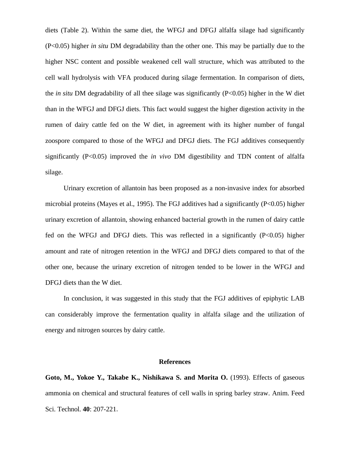diets (Table 2). Within the same diet, the WFGJ and DFGJ alfalfa silage had significantly (P<0.05) higher *in situ* DM degradability than the other one. This may be partially due to the higher NSC content and possible weakened cell wall structure, which was attributed to the cell wall hydrolysis with VFA produced during silage fermentation. In comparison of diets, the *in situ* DM degradability of all thee silage was significantly (P<0.05) higher in the W diet than in the WFGJ and DFGJ diets. This fact would suggest the higher digestion activity in the rumen of dairy cattle fed on the W diet, in agreement with its higher number of fungal zoospore compared to those of the WFGJ and DFGJ diets. The FGJ additives consequently significantly (P<0.05) improved the *in vivo* DM digestibility and TDN content of alfalfa silage.

Urinary excretion of allantoin has been proposed as a non-invasive index for absorbed microbial proteins (Mayes et al., 1995). The FGJ additives had a significantly (P<0.05) higher urinary excretion of allantoin, showing enhanced bacterial growth in the rumen of dairy cattle fed on the WFGJ and DFGJ diets. This was reflected in a significantly (P<0.05) higher amount and rate of nitrogen retention in the WFGJ and DFGJ diets compared to that of the other one, because the urinary excretion of nitrogen tended to be lower in the WFGJ and DFGJ diets than the W diet.

In conclusion, it was suggested in this study that the FGJ additives of epiphytic LAB can considerably improve the fermentation quality in alfalfa silage and the utilization of energy and nitrogen sources by dairy cattle.

#### **References**

**Goto, M., Yokoe Y., Takabe K., Nishikawa S. and Morita O.** (1993). Effects of gaseous ammonia on chemical and structural features of cell walls in spring barley straw. Anim. Feed Sci. Technol. **40**: 207-221.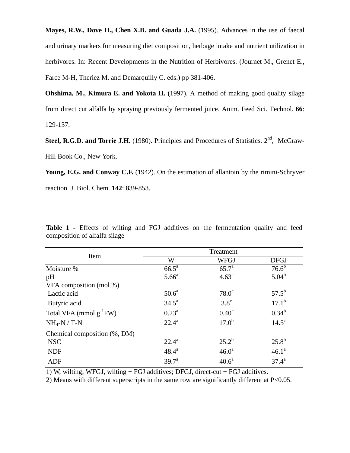**Mayes, R.W., Dove H., Chen X.B. and Guada J.A.** (1995). Advances in the use of faecal and urinary markers for measuring diet composition, herbage intake and nutrient utilization in herbivores. In: Recent Developments in the Nutrition of Herbivores. (Journet M., Grenet E., Farce M-H, Theriez M. and Demarquilly C. eds.) pp 381-406.

**Ohshima, M., Kimura E. and Yokota H.** (1997). A method of making good quality silage from direct cut alfalfa by spraying previously fermented juice. Anim. Feed Sci. Technol. **66**: 129-137.

**Steel, R.G.D. and Torrie J.H.** (1980). Principles and Procedures of Statistics. 2<sup>nd</sup>, McGraw-Hill Book Co., New York.

**Young, E.G. and Conway C.F.** (1942). On the estimation of allantoin by the rimini-Schryver reaction. J. Biol. Chem. **142**: 839-853.

| Item                         | Treatment         |                   |                |
|------------------------------|-------------------|-------------------|----------------|
|                              | W                 | <b>WFGJ</b>       | <b>DFGJ</b>    |
| Moisture %                   | $66.5^a$          | 65.7 <sup>a</sup> | $76.6^{b}$     |
| pH                           | 5.66 <sup>a</sup> | $4.63^{\circ}$    | $5.04^{b}$     |
| VFA composition (mol %)      |                   |                   |                |
| Lactic acid                  | $50.6^a$          | $78.0^\circ$      | $57.5^{\rm b}$ |
| Butyric acid                 | $34.5^{\circ}$    | $3.8^\circ$       | $17.1^{\rm b}$ |
| Total VFA (mmol $g^{-1}FW$ ) | $0.23^{\rm a}$    | $0.40^\circ$      | $0.34^{b}$     |
| $NH_4-N$ / T-N               | $22.4^{\rm a}$    | $17.0^{b}$        | $14.5^\circ$   |
| Chemical composition (%, DM) |                   |                   |                |
| <b>NSC</b>                   | $22.4^{\rm a}$    | $25.2^{b}$        | $25.8^{b}$     |
| <b>NDF</b>                   | $48.4^{\text{a}}$ | 46.0 <sup>a</sup> | $46.1^a$       |
| <b>ADF</b>                   | 39.7 <sup>a</sup> | 40.6 <sup>a</sup> | $37.4^{\rm a}$ |

**Table 1 -** Effects of wilting and FGJ additives on the fermentation quality and feed composition of alfalfa silage

1) W, wilting; WFGJ, wilting + FGJ additives; DFGJ, direct-cut + FGJ additives.

2) Means with different superscripts in the same row are significantly different at P<0.05.